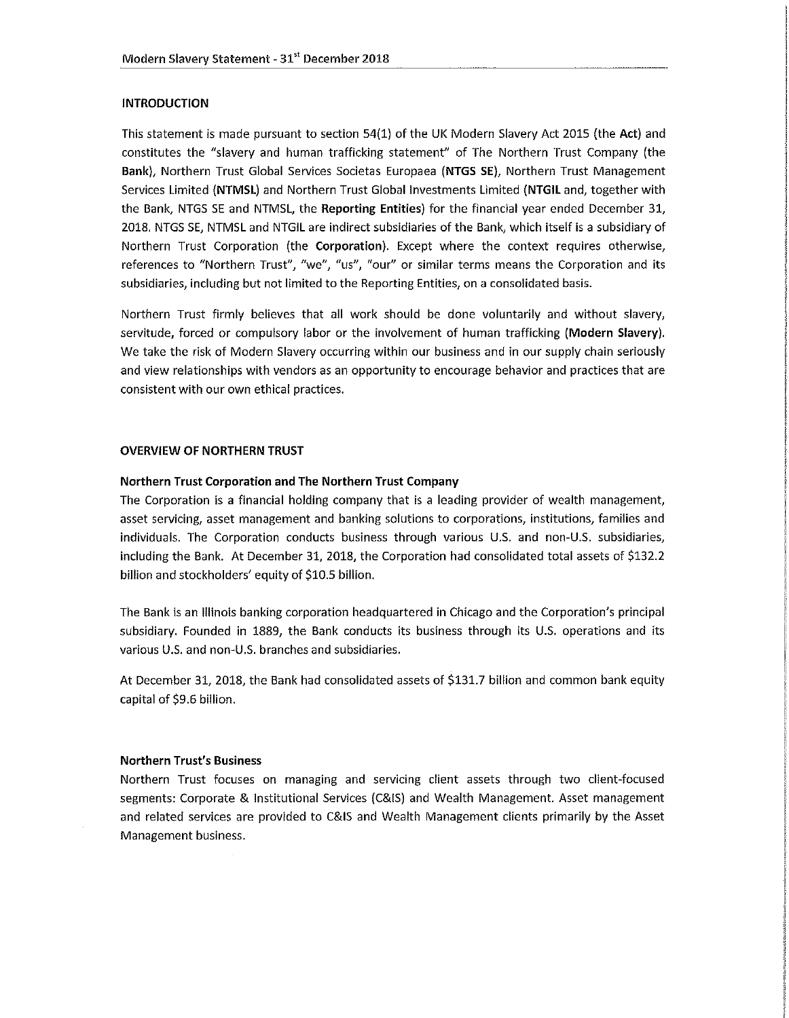# **INTRODUCTION**

This statement is made pursuant to section 54(1) of the UK Modern Slavery Act 2015 (the Act) and constitutes the "slavery and human trafficking statement" of The Northern Trust Company (the Bank), Northern Trust Global Services Societas Europaea (NTGS SE), Northern Trust Management Services Limited (NTMSL) and Northern Trust Global Investments Limited (NTGIL and, together with the Bank, NTGS SE and NTMSL, the Reporting Entities) for the financial year ended December 31, 2018. NTGS SE, NTMSL and NTGIL are indirect subsidiaries of the Bank, which itself is a subsidiary of Northern Trust Corporation (the Corporation). Except where the context requires otherwise, references to "Northern Trust", "we", "us", "our" or similar terms means the Corporation and its subsidiaries, including but not limited to the Reporting Entities, on a consolidated basis.

Northern Trust firmly believes that all work should be done voluntarily and without slavery, servitude, forced or compulsory labor or the involvement of human trafficking (Modern Slavery). We take the risk of Modern Slavery occurring within our business and in our supply chain seriously and view relationships with vendors as an opportunity to encourage behavior and practices that are consistent with our own ethical practices.

## **OVERVIEW OF NORTHERN TRUST**

## Northern Trust Corporation and The Northern Trust Company

The Corporation is a financial holding company that is a leading provider of wealth management, asset servicing, asset management and banking solutions to corporations, institutions, families and individuals. The Corporation conducts business through various U.S. and non-U.S. subsidiaries, including the Bank. At December 31, 2018, the Corporation had consolidated total assets of \$132.2 billion and stockholders' equity of \$10.5 billion.

The Bank is an Illinois banking corporation headquartered in Chicago and the Corporation's principal subsidiary. Founded in 1889, the Bank conducts its business through its U.S. operations and its various U.S. and non-U.S. branches and subsidiaries.

At December 31, 2018, the Bank had consolidated assets of \$131.7 billion and common bank equity capital of \$9.6 billion.

#### **Northern Trust's Business**

Northern Trust focuses on managing and servicing client assets through two client-focused segments: Corporate & Institutional Services (C&IS) and Wealth Management. Asset management and related services are provided to C&IS and Wealth Management clients primarily by the Asset Management business.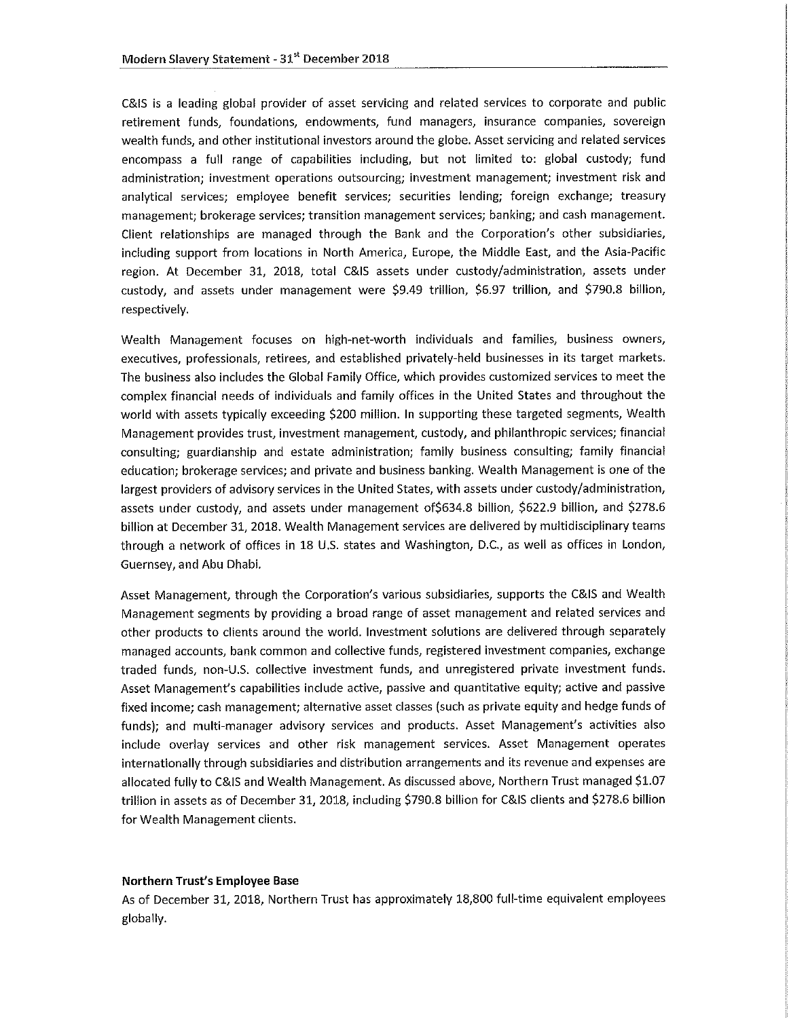C&IS is a leading global provider of asset servicing and related services to corporate and public retirement funds, foundations, endowments, fund managers, insurance companies, sovereign wealth funds, and other institutional investors around the globe. Asset servicing and related services encompass a full range of capabilities including, but not limited to: global custody; fund administration; investment operations outsourcing; investment management; investment risk and analytical services; employee benefit services; securities lending; foreign exchange; treasury management; brokerage services; transition management services; banking; and cash management. Client relationships are managed through the Bank and the Corporation's other subsidiaries, including support from locations in North America, Europe, the Middle East, and the Asia-Pacific region. At December 31, 2018, total C&IS assets under custody/administration, assets under custody, and assets under management were \$9.49 trillion, \$6.97 trillion, and \$790.8 billion, respectively.

Wealth Management focuses on high-net-worth individuals and families, business owners, executives, professionals, retirees, and established privately-held businesses in its target markets. The business also includes the Global Family Office, which provides customized services to meet the complex financial needs of individuals and family offices in the United States and throughout the world with assets typically exceeding \$200 million. In supporting these targeted segments, Wealth Management provides trust, investment management, custody, and philanthropic services; financial consulting: guardianship and estate administration; family business consulting; family financial education; brokerage services; and private and business banking. Wealth Management is one of the largest providers of advisory services in the United States, with assets under custody/administration, assets under custody, and assets under management of \$634.8 billion, \$622.9 billion, and \$278.6 billion at December 31, 2018. Wealth Management services are delivered by multidisciplinary teams through a network of offices in 18 U.S. states and Washington, D.C., as well as offices in London, Guernsey, and Abu Dhabi.

Asset Management, through the Corporation's various subsidiaries, supports the C&IS and Wealth Management segments by providing a broad range of asset management and related services and other products to clients around the world. Investment solutions are delivered through separately managed accounts, bank common and collective funds, registered investment companies, exchange traded funds, non-U.S. collective investment funds, and unregistered private investment funds. Asset Management's capabilities include active, passive and quantitative equity; active and passive fixed income; cash management; alternative asset classes (such as private equity and hedge funds of funds); and multi-manager advisory services and products. Asset Management's activities also include overlay services and other risk management services. Asset Management operates internationally through subsidiaries and distribution arrangements and its revenue and expenses are allocated fully to C&IS and Wealth Management. As discussed above, Northern Trust managed \$1.07 trillion in assets as of December 31, 2018, including \$790.8 billion for C&IS clients and \$278.6 billion for Wealth Management clients.

#### Northern Trust's Employee Base

As of December 31, 2018, Northern Trust has approximately 18,800 full-time equivalent employees globally.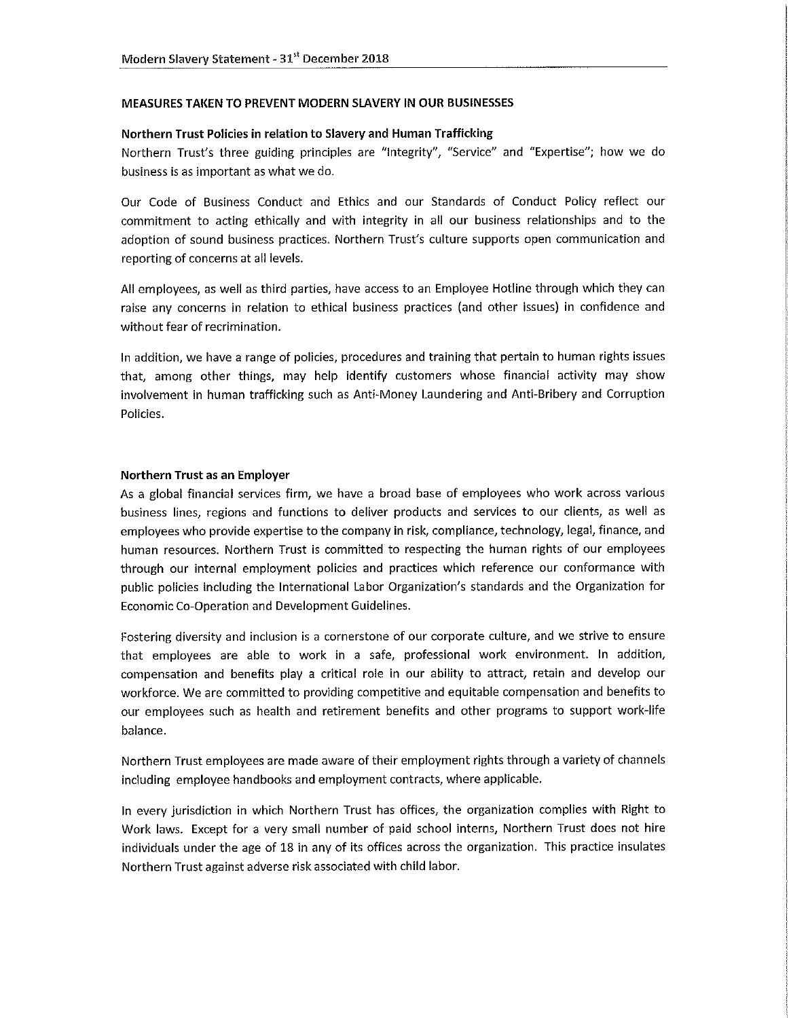#### MEASURES TAKEN TO PREVENT MODERN SLAVERY IN OUR BUSINESSES

#### Northern Trust Policies in relation to Slavery and Human Trafficking

Northern Trust's three guiding principles are "Integrity", "Service" and "Expertise"; how we do business is as important as what we do.

Our Code of Business Conduct and Ethics and our Standards of Conduct Policy reflect our commitment to acting ethically and with integrity in all our business relationships and to the adoption of sound business practices. Northern Trust's culture supports open communication and reporting of concerns at all levels.

All employees, as well as third parties, have access to an Employee Hotline through which they can raise any concerns in relation to ethical business practices (and other issues) in confidence and without fear of recrimination.

In addition, we have a range of policies, procedures and training that pertain to human rights issues that, among other things, may help identify customers whose financial activity may show involvement in human trafficking such as Anti-Money Laundering and Anti-Bribery and Corruption Policies.

### Northern Trust as an Employer

As a global financial services firm, we have a broad base of employees who work across various business lines, regions and functions to deliver products and services to our clients, as well as employees who provide expertise to the company in risk, compliance, technology, legal, finance, and human resources. Northern Trust is committed to respecting the human rights of our employees through our internal employment policies and practices which reference our conformance with public policies including the International Labor Organization's standards and the Organization for Economic Co-Operation and Development Guidelines.

Fostering diversity and inclusion is a cornerstone of our corporate culture, and we strive to ensure that employees are able to work in a safe, professional work environment. In addition, compensation and benefits play a critical role in our ability to attract, retain and develop our workforce. We are committed to providing competitive and equitable compensation and benefits to our employees such as health and retirement benefits and other programs to support work-life balance.

Northern Trust employees are made aware of their employment rights through a variety of channels including employee handbooks and employment contracts, where applicable.

In every jurisdiction in which Northern Trust has offices, the organization complies with Right to Work laws. Except for a very small number of paid school interns, Northern Trust does not hire individuals under the age of 18 in any of its offices across the organization. This practice insulates Northern Trust against adverse risk associated with child labor.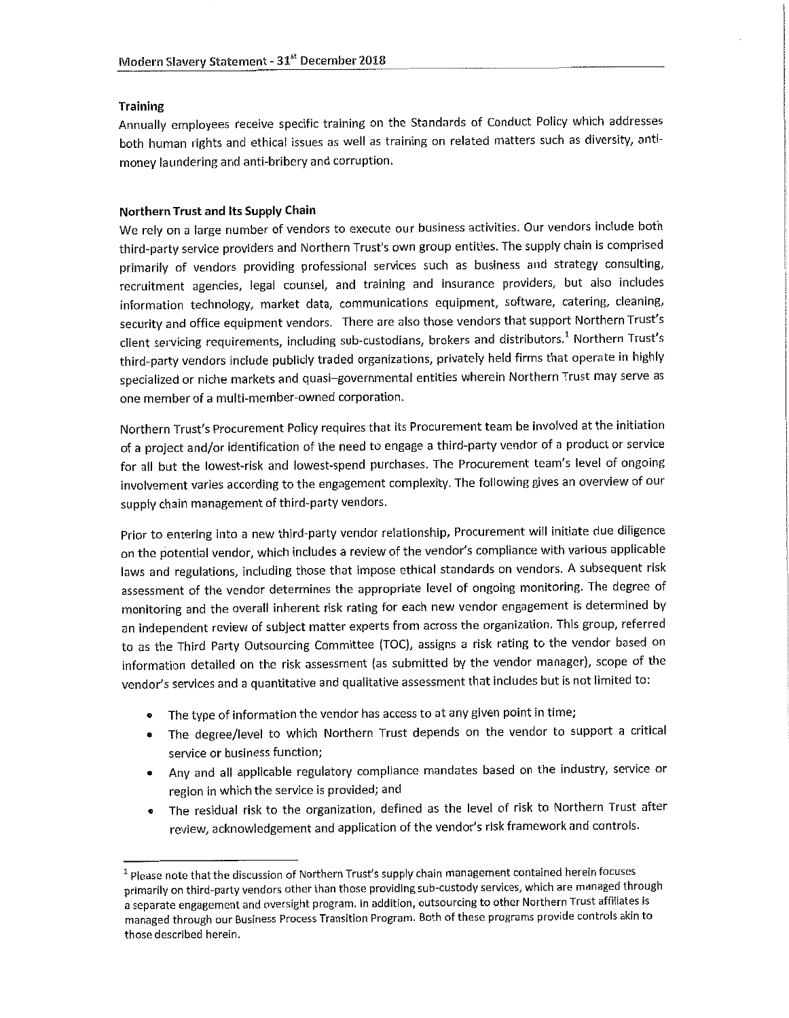## **Training**

Annually employees receive specific training on the Standards of Conduct Policy which addresses both human rights and ethical issues as well as training on related matters such as diversity, antimoney laundering and anti-bribery and corruption.

### Northern Trust and Its Supply Chain

We rely on a large number of vendors to execute our business activities. Our vendors include both third-party service providers and Northern Trust's own group entities. The supply chain is comprised primarily of vendors providing professional services such as business and strategy consulting, recruitment agencies, legal counsel, and training and insurance providers, but also includes information technology, market data, communications equipment, software, catering, cleaning, security and office equipment vendors. There are also those vendors that support Northern Trust's client servicing requirements, including sub-custodians, brokers and distributors.<sup>1</sup> Northern Trust's third-party vendors include publicly traded organizations, privately held firms that operate in highly specialized or niche markets and quasi-governmental entities wherein Northern Trust may serve as one member of a multi-member-owned corporation.

Northern Trust's Procurement Policy requires that its Procurement team be involved at the initiation of a project and/or identification of the need to engage a third-party vendor of a product or service for all but the lowest-risk and lowest-spend purchases. The Procurement team's level of ongoing involvement varies according to the engagement complexity. The following gives an overview of our supply chain management of third-party vendors.

Prior to entering into a new third-party vendor relationship, Procurement will initiate due diligence on the potential vendor, which includes a review of the vendor's compliance with various applicable laws and regulations, including those that impose ethical standards on vendors. A subsequent risk assessment of the vendor determines the appropriate level of ongoing monitoring. The degree of monitoring and the overall inherent risk rating for each new vendor engagement is determined by an independent review of subject matter experts from across the organization. This group, referred to as the Third Party Outsourcing Committee (TOC), assigns a risk rating to the vendor based on information detailed on the risk assessment (as submitted by the vendor manager), scope of the vendor's services and a quantitative and qualitative assessment that includes but is not limited to:

- The type of information the vendor has access to at any given point in time;
- The degree/level to which Northern Trust depends on the vendor to support a critical service or business function;
- Any and all applicable regulatory compliance mandates based on the industry, service or region in which the service is provided; and
- The residual risk to the organization, defined as the level of risk to Northern Trust after review, acknowledgement and application of the vendor's risk framework and controls.

<sup>&</sup>lt;sup>1</sup> Please note that the discussion of Northern Trust's supply chain management contained herein focuses primarily on third-party vendors other than those providing sub-custody services, which are managed through a separate engagement and oversight program. In addition, outsourcing to other Northern Trust affiliates is managed through our Business Process Transition Program. Both of these programs provide controls akin to those described herein.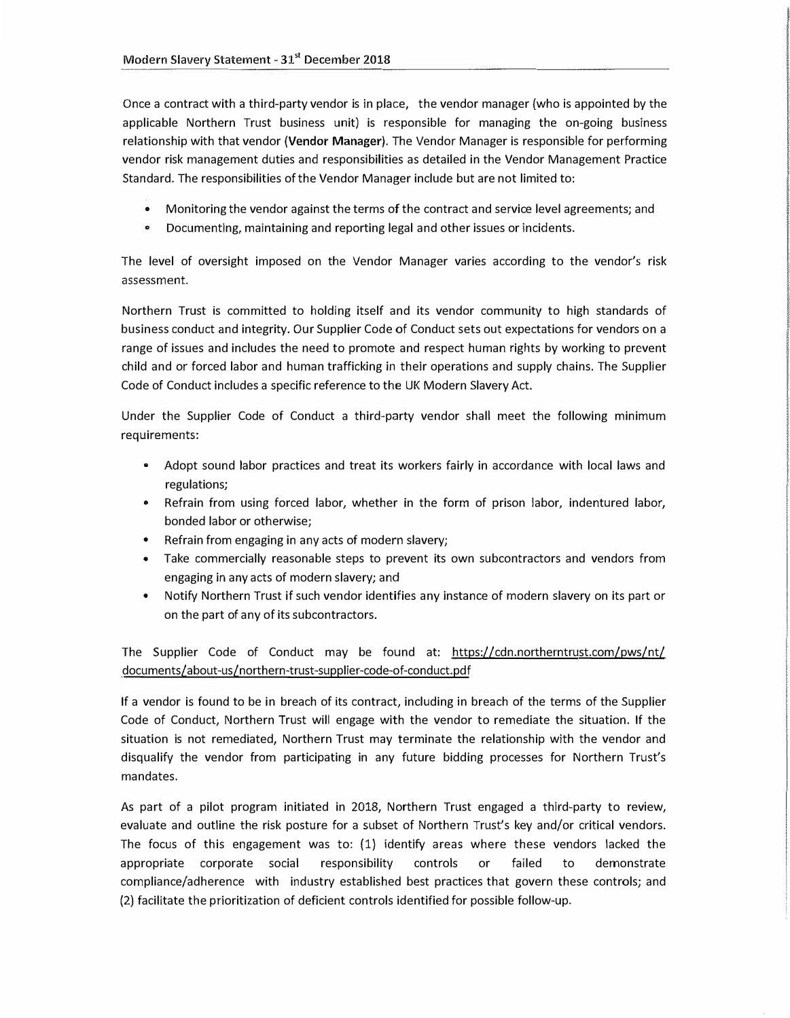Once a contract with a third-party vendor is in place, the vendor manager (who is appointed by the applicable Northern Trust business unit) is responsible for managing the on-going business relationship with that vendor **(Vendor Manager).** The Vendor Manager is responsible for performing vendor risk management duties and responsibilities as detailed in the Vendor Management Practice Standard. The responsibilities of the Vendor Manager include but are not limited to:

- Monitoring the vendor against the terms of the contract and service level agreements; and
- Documenting, maintaining and reporting legal and other issues or incidents.

The level of oversight imposed on the Vendor Manager varies according to the vendor's risk **assessment.** 

Northern Trust is committed to holding itself and its vendor community to high standards of business conduct and integrity. Our Supplier Code of Conduct sets out expectations for vendors on a range of issues and includes the need to promote and respect human rights by working to prevent child and or forced labor and human trafficking in their operations and supply chains. The Supplier Code of Conduct includes a specific reference to the UK Modern Slavery Act.

Under the Supplier Code of Conduct a third-party vendor shall meet the following minimum **requirements:** 

- Adopt sound labor practices and treat its workers fairly in accordance with local laws and regulations;
- Refrain from using forced labor, whether in the form of prison labor, indentured labor, bonded labor or otherwise;
- Refrain from engaging in any acts of modern slavery;
- Take commercially reasonable steps to prevent its own subcontractors and vendors from engaging in any acts of modern slavery; and
- Notify Northern Trust if such vendor identifies any instance of modern slavery on its part or on the part of any of its subcontractors.

The Supplier [Code of Conduct may be found at: https://cdn.northerntrust.com/pws/nt/](https://cdn.northerntrust.com/pws/nt/documents/about-us/northern-trust-supplier-code-of-conduct.pdf) documents/about-us/northern-trust-supplier-code-of-conduct.pdf

If a vendor is found to be in breach of its contract, including in breach of the terms of the Supplier Code of Conduct, Northern Trust will engage with the vendor to remediate the situation. If the situation is not remediated, Northern Trust may terminate the relationship with the vendor and disqualify the vendor from participating in any future bidding processes for Northern Trust's mandates.

As part of a pilot program initiated in 2018, Northern Trust engaged a third-party to review, evaluate and outline the risk posture for a subset of Northern Trust's key and/or critical vendors. The focus of this engagement was to: (1) identify areas where these vendors lacked the appropriate corporate social responsibility controls or failed to demonstrate compliance/adherence with industry established best practices that govern these controls; and (2) facilitate the prioritization of deficient controls identified for possible follow-up.